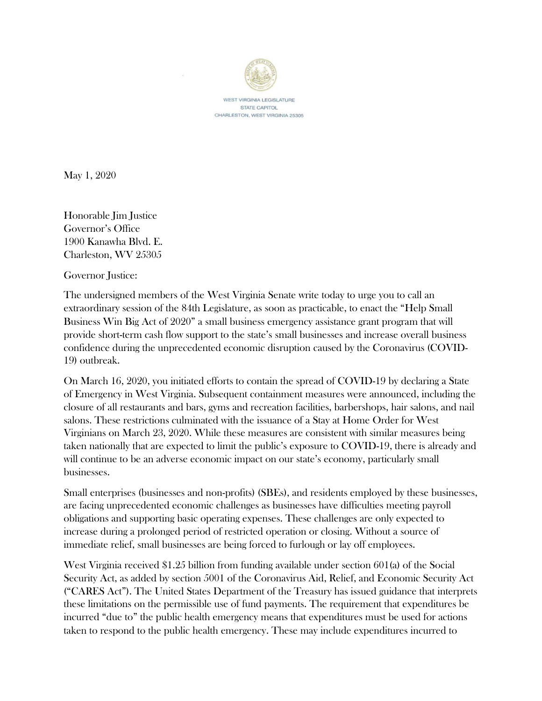

WEST VIRGINIA LEGISLATURE STATE CAPITOL CHARLESTON, WEST VIRGINIA 25305

May 1, 2020

Honorable Jim Justice Governor's Office 1900 Kanawha Blvd. E. Charleston, WV 25305

Governor Justice:

The undersigned members of the West Virginia Senate write today to urge you to call an extraordinary session of the 84th Legislature, as soon as practicable, to enact the "Help Small Business Win Big Act of 2020" a small business emergency assistance grant program that will provide short-term cash flow support to the state's small businesses and increase overall business confidence during the unprecedented economic disruption caused by the Coronavirus (COVID-19) outbreak.

On March 16, 2020, you initiated efforts to contain the spread of COVID-19 by declaring a State of Emergency in West Virginia. Subsequent containment measures were announced, including the closure of all restaurants and bars, gyms and recreation facilities, barbershops, hair salons, and nail salons. These restrictions culminated with the issuance of a Stay at Home Order for West Virginians on March 23, 2020. While these measures are consistent with similar measures being taken nationally that are expected to limit the public's exposure to COVID-19, there is already and will continue to be an adverse economic impact on our state's economy, particularly small businesses.

Small enterprises (businesses and non-profits) (SBEs), and residents employed by these businesses, are facing unprecedented economic challenges as businesses have difficulties meeting payroll obligations and supporting basic operating expenses. These challenges are only expected to increase during a prolonged period of restricted operation or closing. Without a source of immediate relief, small businesses are being forced to furlough or lay off employees.

West Virginia received \$1.25 billion from funding available under section 601(a) of the Social Security Act, as added by section 5001 of the Coronavirus Aid, Relief, and Economic Security Act ("CARES Act"). The United States Department of the Treasury has issued guidance that interprets these limitations on the permissible use of fund payments. The requirement that expenditures be incurred "due to" the public health emergency means that expenditures must be used for actions taken to respond to the public health emergency. These may include expenditures incurred to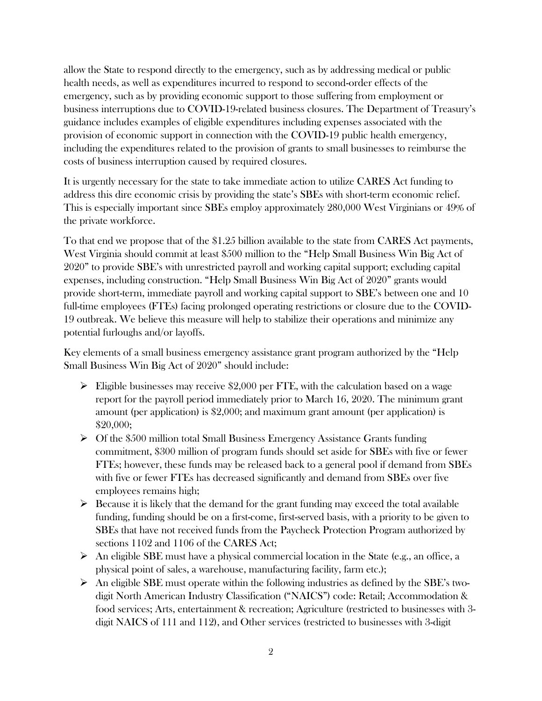allow the State to respond directly to the emergency, such as by addressing medical or public health needs, as well as expenditures incurred to respond to second-order effects of the emergency, such as by providing economic support to those suffering from employment or business interruptions due to COVID-19-related business closures. The Department of Treasury's guidance includes examples of eligible expenditures including expenses associated with the provision of economic support in connection with the COVID-19 public health emergency, including the expenditures related to the provision of grants to small businesses to reimburse the costs of business interruption caused by required closures.

It is urgently necessary for the state to take immediate action to utilize CARES Act funding to address this dire economic crisis by providing the state's SBEs with short-term economic relief. This is especially important since SBEs employ approximately 280,000 West Virginians or 49% of the private workforce.

To that end we propose that of the \$1.25 billion available to the state from CARES Act payments, West Virginia should commit at least \$500 million to the "Help Small Business Win Big Act of 2020" to provide SBE's with unrestricted payroll and working capital support; excluding capital expenses, including construction. "Help Small Business Win Big Act of 2020" grants would provide short-term, immediate payroll and working capital support to SBE's between one and 10 full-time employees (FTEs) facing prolonged operating restrictions or closure due to the COVID-19 outbreak. We believe this measure will help to stabilize their operations and minimize any potential furloughs and/or layoffs.

Key elements of a small business emergency assistance grant program authorized by the "Help Small Business Win Big Act of 2020" should include:

- $\triangleright$  Eligible businesses may receive \$2,000 per FTE, with the calculation based on a wage report for the payroll period immediately prior to March 16, 2020. The minimum grant amount (per application) is \$2,000; and maximum grant amount (per application) is \$20,000;
- $\triangleright$  Of the \$500 million total Small Business Emergency Assistance Grants funding commitment, \$300 million of program funds should set aside for SBEs with five or fewer FTEs; however, these funds may be released back to a general pool if demand from SBEs with five or fewer FTEs has decreased significantly and demand from SBEs over five employees remains high;
- $\triangleright$  Because it is likely that the demand for the grant funding may exceed the total available funding, funding should be on a first-come, first-served basis, with a priority to be given to SBEs that have not received funds from the Paycheck Protection Program authorized by sections 1102 and 1106 of the CARES Act;
- $\triangleright$  An eligible SBE must have a physical commercial location in the State (e.g., an office, a physical point of sales, a warehouse, manufacturing facility, farm etc.);
- $\triangleright$  An eligible SBE must operate within the following industries as defined by the SBE's twodigit North American Industry Classification ("NAICS") code: Retail; Accommodation & food services; Arts, entertainment & recreation; Agriculture (restricted to businesses with 3 digit NAICS of 111 and 112), and Other services (restricted to businesses with 3-digit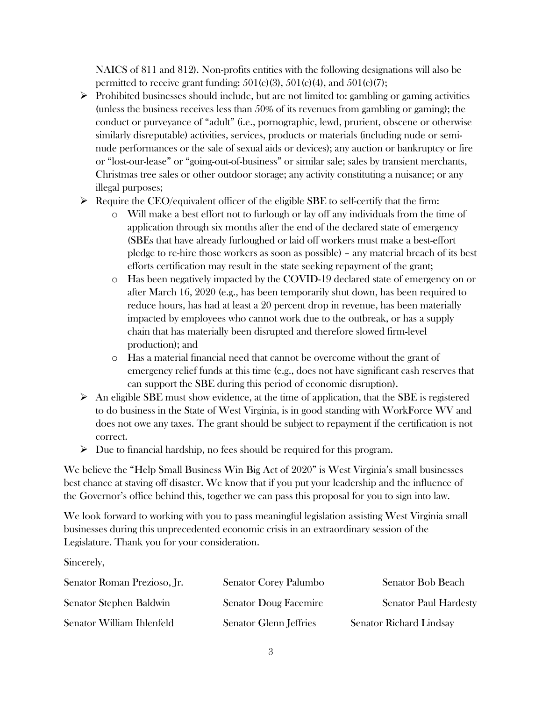NAICS of 811 and 812). Non-profits entities with the following designations will also be permitted to receive grant funding:  $501(c)(3)$ ,  $501(c)(4)$ , and  $501(c)(7)$ ;

- $\triangleright$  Prohibited businesses should include, but are not limited to: gambling or gaming activities (unless the business receives less than 50% of its revenues from gambling or gaming); the conduct or purveyance of "adult" (i.e., pornographic, lewd, prurient, obscene or otherwise similarly disreputable) activities, services, products or materials (including nude or seminude performances or the sale of sexual aids or devices); any auction or bankruptcy or fire or "lost-our-lease" or "going-out-of-business" or similar sale; sales by transient merchants, Christmas tree sales or other outdoor storage; any activity constituting a nuisance; or any illegal purposes;
- $\triangleright$  Require the CEO/equivalent officer of the eligible SBE to self-certify that the firm:
	- Will make a best effort not to furlough or lay off any individuals from the time of application through six months after the end of the declared state of emergency (SBEs that have already furloughed or laid off workers must make a best-effort pledge to re-hire those workers as soon as possible) – any material breach of its best efforts certification may result in the state seeking repayment of the grant;
	- o Has been negatively impacted by the COVID-19 declared state of emergency on or after March 16, 2020 (e.g., has been temporarily shut down, has been required to reduce hours, has had at least a 20 percent drop in revenue, has been materially impacted by employees who cannot work due to the outbreak, or has a supply chain that has materially been disrupted and therefore slowed firm-level production); and
	- o Has a material financial need that cannot be overcome without the grant of emergency relief funds at this time (e.g., does not have significant cash reserves that can support the SBE during this period of economic disruption).
- $\triangleright$  An eligible SBE must show evidence, at the time of application, that the SBE is registered to do business in the State of West Virginia, is in good standing with WorkForce WV and does not owe any taxes. The grant should be subject to repayment if the certification is not correct.
- $\triangleright$  Due to financial hardship, no fees should be required for this program.

We believe the "Help Small Business Win Big Act of 2020" is West Virginia's small businesses best chance at staving off disaster. We know that if you put your leadership and the influence of the Governor's office behind this, together we can pass this proposal for you to sign into law.

We look forward to working with you to pass meaningful legislation assisting West Virginia small businesses during this unprecedented economic crisis in an extraordinary session of the Legislature. Thank you for your consideration.

Sincerely,

| Senator Roman Prezioso, Jr. | <b>Senator Corey Palumbo</b>  | Senator Bob Beach              |
|-----------------------------|-------------------------------|--------------------------------|
| Senator Stephen Baldwin     | <b>Senator Doug Facemire</b>  | <b>Senator Paul Hardesty</b>   |
| Senator William Ihlenfeld   | <b>Senator Glenn Jeffries</b> | <b>Senator Richard Lindsay</b> |